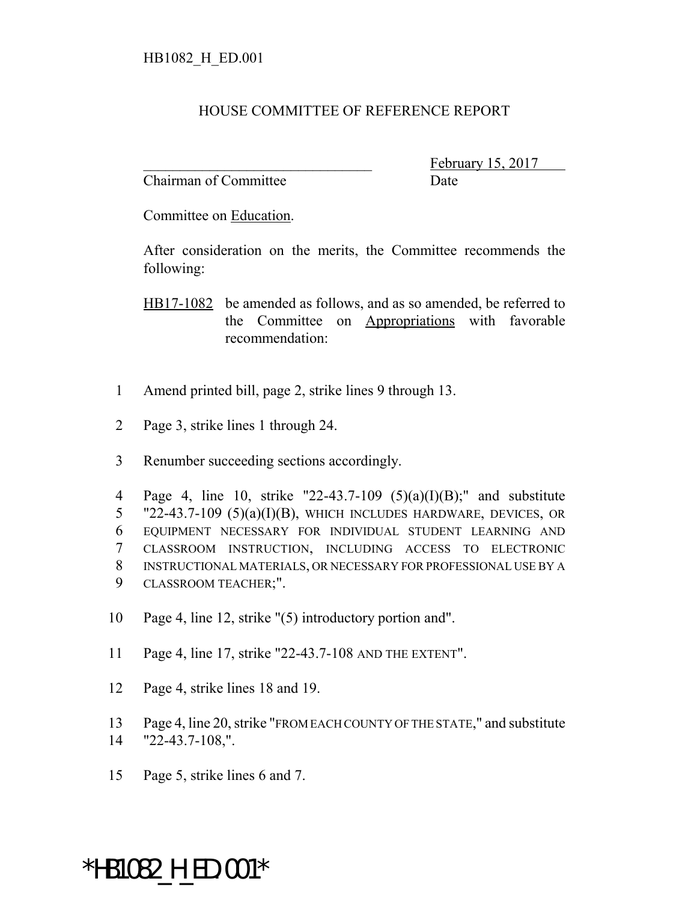## HOUSE COMMITTEE OF REFERENCE REPORT

Chairman of Committee Date

February 15, 2017

Committee on Education.

After consideration on the merits, the Committee recommends the following:

HB17-1082 be amended as follows, and as so amended, be referred to the Committee on Appropriations with favorable recommendation:

- 1 Amend printed bill, page 2, strike lines 9 through 13.
- 2 Page 3, strike lines 1 through 24.
- 3 Renumber succeeding sections accordingly.

 Page 4, line 10, strike "22-43.7-109 (5)(a)(I)(B);" and substitute "22-43.7-109 (5)(a)(I)(B), WHICH INCLUDES HARDWARE, DEVICES, OR EQUIPMENT NECESSARY FOR INDIVIDUAL STUDENT LEARNING AND CLASSROOM INSTRUCTION, INCLUDING ACCESS TO ELECTRONIC INSTRUCTIONAL MATERIALS, OR NECESSARY FOR PROFESSIONAL USE BY A CLASSROOM TEACHER;".

- 10 Page 4, line 12, strike "(5) introductory portion and".
- 11 Page 4, line 17, strike "22-43.7-108 AND THE EXTENT".
- 12 Page 4, strike lines 18 and 19.
- 13 Page 4, line 20, strike "FROM EACH COUNTY OF THE STATE," and substitute
- 14 "22-43.7-108,".
- 15 Page 5, strike lines 6 and 7.

## \*HB1082\_H\_ED.001\*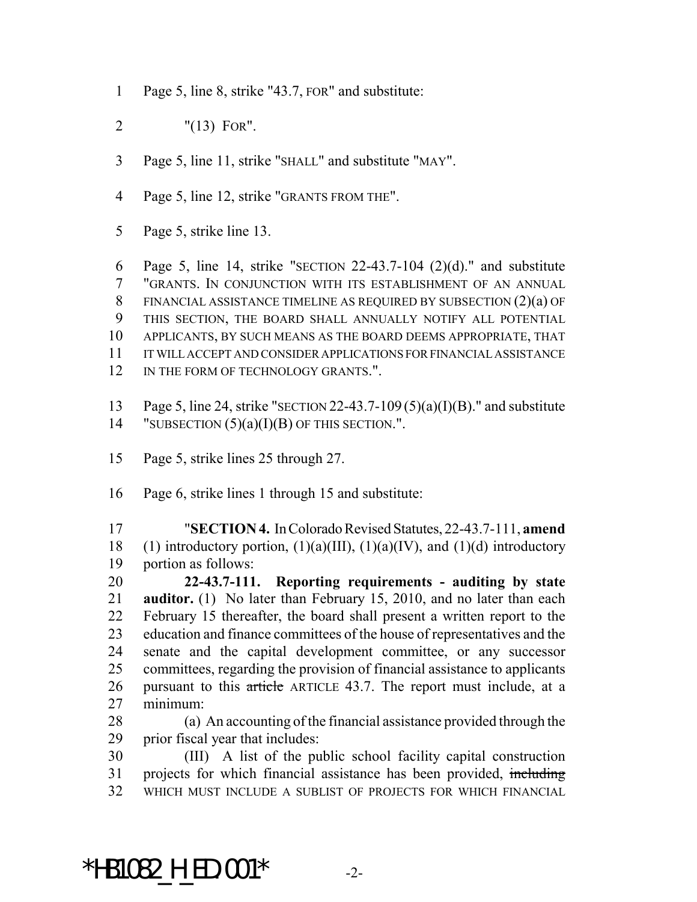- Page 5, line 8, strike "43.7, FOR" and substitute:
- "(13) FOR".
- Page 5, line 11, strike "SHALL" and substitute "MAY".
- Page 5, line 12, strike "GRANTS FROM THE".
- Page 5, strike line 13.

 Page 5, line 14, strike "SECTION 22-43.7-104 (2)(d)." and substitute "GRANTS. IN CONJUNCTION WITH ITS ESTABLISHMENT OF AN ANNUAL FINANCIAL ASSISTANCE TIMELINE AS REQUIRED BY SUBSECTION (2)(a) OF THIS SECTION, THE BOARD SHALL ANNUALLY NOTIFY ALL POTENTIAL APPLICANTS, BY SUCH MEANS AS THE BOARD DEEMS APPROPRIATE, THAT IT WILL ACCEPT AND CONSIDER APPLICATIONS FOR FINANCIAL ASSISTANCE 12 IN THE FORM OF TECHNOLOGY GRANTS.".

- Page 5, line 24, strike "SECTION 22-43.7-109 (5)(a)(I)(B)." and substitute 14 "SUBSECTION  $(5)(a)(I)(B)$  OF THIS SECTION.".
- Page 5, strike lines 25 through 27.
- Page 6, strike lines 1 through 15 and substitute:

 "**SECTION 4.** In Colorado Revised Statutes, 22-43.7-111, **amend** 18 (1) introductory portion,  $(1)(a)(III)$ ,  $(1)(a)(IV)$ , and  $(1)(d)$  introductory portion as follows:

 **22-43.7-111. Reporting requirements - auditing by state auditor.** (1) No later than February 15, 2010, and no later than each February 15 thereafter, the board shall present a written report to the education and finance committees of the house of representatives and the senate and the capital development committee, or any successor committees, regarding the provision of financial assistance to applicants pursuant to this article ARTICLE 43.7. The report must include, at a minimum:

 (a) An accounting of the financial assistance provided through the prior fiscal year that includes:

 (III) A list of the public school facility capital construction 31 projects for which financial assistance has been provided, including WHICH MUST INCLUDE A SUBLIST OF PROJECTS FOR WHICH FINANCIAL

\*HB1082 H ED.001\*  $-2$ -